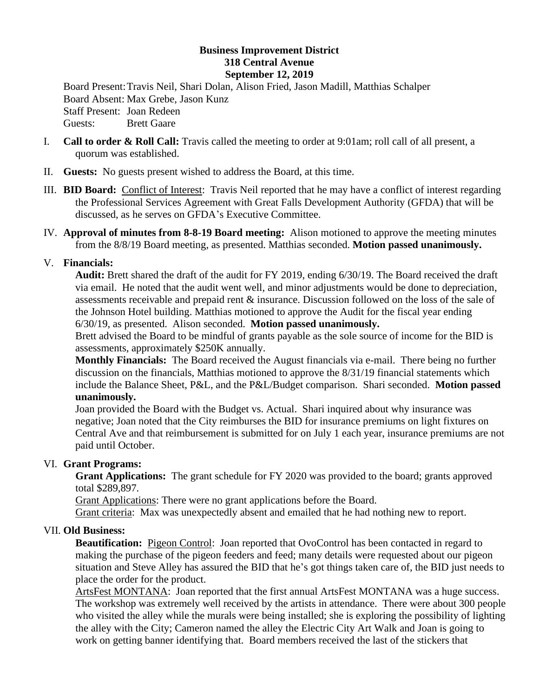## **Business Improvement District 318 Central Avenue September 12, 2019**

Board Present:Travis Neil, Shari Dolan, Alison Fried, Jason Madill, Matthias Schalper Board Absent: Max Grebe, Jason Kunz Staff Present: Joan Redeen Guests: Brett Gaare

- I. **Call to order & Roll Call:** Travis called the meeting to order at 9:01am; roll call of all present, a quorum was established.
- II. **Guests:** No guests present wished to address the Board, at this time.
- III. **BID Board:** Conflict of Interest: Travis Neil reported that he may have a conflict of interest regarding the Professional Services Agreement with Great Falls Development Authority (GFDA) that will be discussed, as he serves on GFDA's Executive Committee.
- IV. **Approval of minutes from 8-8-19 Board meeting:** Alison motioned to approve the meeting minutes from the 8/8/19 Board meeting, as presented. Matthias seconded. **Motion passed unanimously.**

## V. **Financials:**

**Audit:** Brett shared the draft of the audit for FY 2019, ending 6/30/19. The Board received the draft via email. He noted that the audit went well, and minor adjustments would be done to depreciation, assessments receivable and prepaid rent & insurance. Discussion followed on the loss of the sale of the Johnson Hotel building. Matthias motioned to approve the Audit for the fiscal year ending 6/30/19, as presented. Alison seconded. **Motion passed unanimously.** 

Brett advised the Board to be mindful of grants payable as the sole source of income for the BID is assessments, approximately \$250K annually.

**Monthly Financials:** The Board received the August financials via e-mail. There being no further discussion on the financials, Matthias motioned to approve the 8/31/19 financial statements which include the Balance Sheet, P&L, and the P&L/Budget comparison. Shari seconded. **Motion passed unanimously.**

Joan provided the Board with the Budget vs. Actual. Shari inquired about why insurance was negative; Joan noted that the City reimburses the BID for insurance premiums on light fixtures on Central Ave and that reimbursement is submitted for on July 1 each year, insurance premiums are not paid until October.

## VI. **Grant Programs:**

**Grant Applications:** The grant schedule for FY 2020 was provided to the board; grants approved total \$289,897.

Grant Applications: There were no grant applications before the Board.

Grant criteria: Max was unexpectedly absent and emailed that he had nothing new to report.

## VII. **Old Business:**

**Beautification:** Pigeon Control: Joan reported that OvoControl has been contacted in regard to making the purchase of the pigeon feeders and feed; many details were requested about our pigeon situation and Steve Alley has assured the BID that he's got things taken care of, the BID just needs to place the order for the product.

ArtsFest MONTANA: Joan reported that the first annual ArtsFest MONTANA was a huge success. The workshop was extremely well received by the artists in attendance. There were about 300 people who visited the alley while the murals were being installed; she is exploring the possibility of lighting the alley with the City; Cameron named the alley the Electric City Art Walk and Joan is going to work on getting banner identifying that. Board members received the last of the stickers that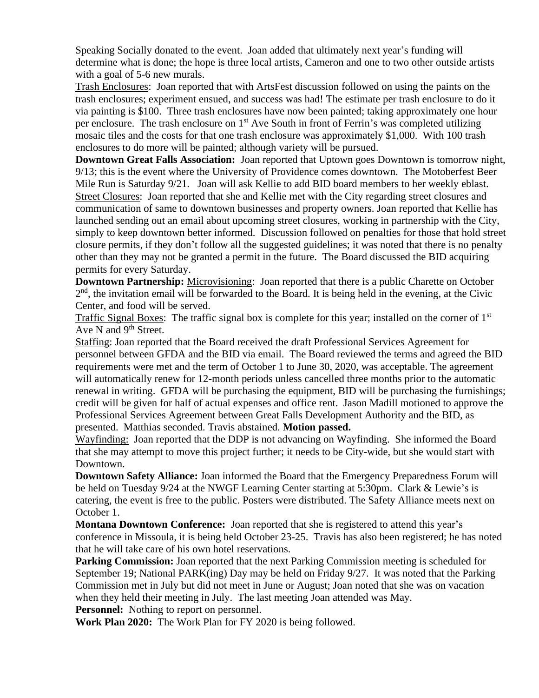Speaking Socially donated to the event. Joan added that ultimately next year's funding will determine what is done; the hope is three local artists, Cameron and one to two other outside artists with a goal of 5-6 new murals.

Trash Enclosures: Joan reported that with ArtsFest discussion followed on using the paints on the trash enclosures; experiment ensued, and success was had! The estimate per trash enclosure to do it via painting is \$100. Three trash enclosures have now been painted; taking approximately one hour per enclosure. The trash enclosure on 1<sup>st</sup> Ave South in front of Ferrin's was completed utilizing mosaic tiles and the costs for that one trash enclosure was approximately \$1,000. With 100 trash enclosures to do more will be painted; although variety will be pursued.

**Downtown Great Falls Association:** Joan reported that Uptown goes Downtown is tomorrow night, 9/13; this is the event where the University of Providence comes downtown. The Motoberfest Beer Mile Run is Saturday 9/21. Joan will ask Kellie to add BID board members to her weekly eblast. Street Closures: Joan reported that she and Kellie met with the City regarding street closures and communication of same to downtown businesses and property owners. Joan reported that Kellie has launched sending out an email about upcoming street closures, working in partnership with the City, simply to keep downtown better informed. Discussion followed on penalties for those that hold street closure permits, if they don't follow all the suggested guidelines; it was noted that there is no penalty other than they may not be granted a permit in the future. The Board discussed the BID acquiring permits for every Saturday.

**Downtown Partnership:** Microvisioning: Joan reported that there is a public Charette on October  $2<sup>nd</sup>$ , the invitation email will be forwarded to the Board. It is being held in the evening, at the Civic Center, and food will be served.

Traffic Signal Boxes: The traffic signal box is complete for this year; installed on the corner of 1<sup>st</sup> Ave N and  $9<sup>th</sup>$  Street.

Staffing: Joan reported that the Board received the draft Professional Services Agreement for personnel between GFDA and the BID via email. The Board reviewed the terms and agreed the BID requirements were met and the term of October 1 to June 30, 2020, was acceptable. The agreement will automatically renew for 12-month periods unless cancelled three months prior to the automatic renewal in writing. GFDA will be purchasing the equipment, BID will be purchasing the furnishings; credit will be given for half of actual expenses and office rent. Jason Madill motioned to approve the Professional Services Agreement between Great Falls Development Authority and the BID, as presented. Matthias seconded. Travis abstained. **Motion passed.** 

Wayfinding: Joan reported that the DDP is not advancing on Wayfinding. She informed the Board that she may attempt to move this project further; it needs to be City-wide, but she would start with Downtown.

**Downtown Safety Alliance:** Joan informed the Board that the Emergency Preparedness Forum will be held on Tuesday 9/24 at the NWGF Learning Center starting at 5:30pm. Clark & Lewie's is catering, the event is free to the public. Posters were distributed. The Safety Alliance meets next on October 1.

**Montana Downtown Conference:** Joan reported that she is registered to attend this year's conference in Missoula, it is being held October 23-25. Travis has also been registered; he has noted that he will take care of his own hotel reservations.

**Parking Commission:** Joan reported that the next Parking Commission meeting is scheduled for September 19; National PARK(ing) Day may be held on Friday 9/27. It was noted that the Parking Commission met in July but did not meet in June or August; Joan noted that she was on vacation when they held their meeting in July. The last meeting Joan attended was May.

**Personnel:** Nothing to report on personnel.

**Work Plan 2020:** The Work Plan for FY 2020 is being followed.